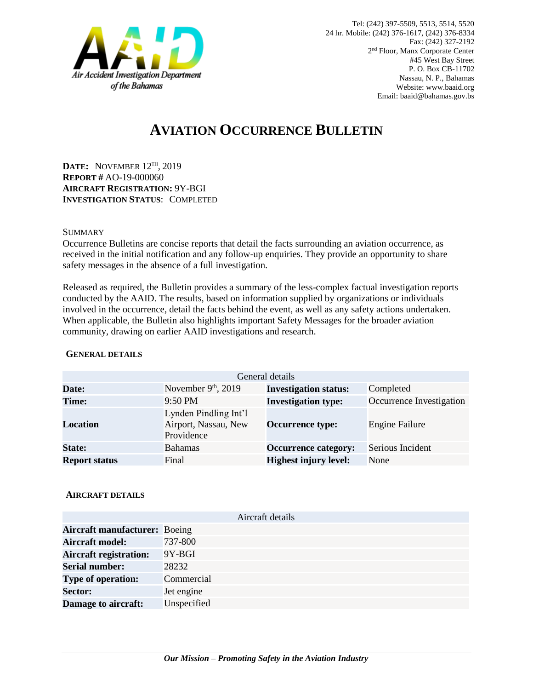

# **AVIATION OCCURRENCE BULLETIN**

**DATE:** NOVEMBER 12TH , 2019 **REPORT #** AO-19-000060 **AIRCRAFT REGISTRATION:** 9Y-BGI **INVESTIGATION STATUS**: COMPLETED

### SUMMARY

Occurrence Bulletins are concise reports that detail the facts surrounding an aviation occurrence, as received in the initial notification and any follow-up enquiries. They provide an opportunity to share safety messages in the absence of a full investigation*.*

Released as required, the Bulletin provides a summary of the less-complex factual investigation reports conducted by the AAID. The results, based on information supplied by organizations or individuals involved in the occurrence, detail the facts behind the event, as well as any safety actions undertaken. When applicable, the Bulletin also highlights important Safety Messages for the broader aviation community, drawing on earlier AAID investigations and research.

| General details      |                                                             |                              |                          |
|----------------------|-------------------------------------------------------------|------------------------------|--------------------------|
| Date:                | November $9th$ , 2019                                       | <b>Investigation status:</b> | Completed                |
| <b>Time:</b>         | 9:50 PM                                                     | <b>Investigation type:</b>   | Occurrence Investigation |
| Location             | Lynden Pindling Int'l<br>Airport, Nassau, New<br>Providence | <b>Occurrence type:</b>      | <b>Engine Failure</b>    |
| <b>State:</b>        | <b>Bahamas</b>                                              | <b>Occurrence category:</b>  | Serious Incident         |
| <b>Report status</b> | Final                                                       | <b>Highest injury level:</b> | None                     |

#### **GENERAL DETAILS**

#### **AIRCRAFT DETAILS**

|                                      | Aircraft details |
|--------------------------------------|------------------|
| <b>Aircraft manufacturer: Boeing</b> |                  |
| <b>Aircraft model:</b>               | 737-800          |
| <b>Aircraft registration:</b>        | $9Y-BGI$         |
| <b>Serial number:</b>                | 28232            |
| <b>Type of operation:</b>            | Commercial       |
| <b>Sector:</b>                       | Jet engine       |
| Damage to aircraft:                  | Unspecified      |